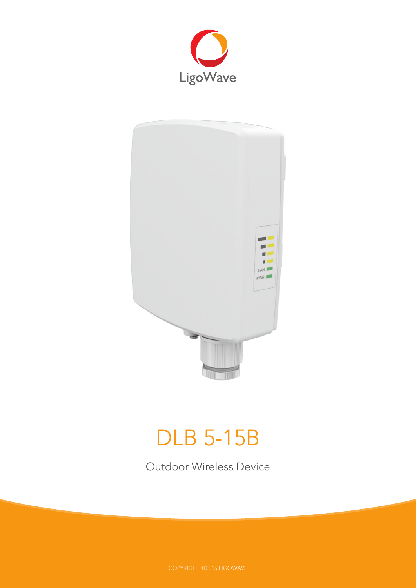



# DLB 5-15B

Outdoor Wireless Device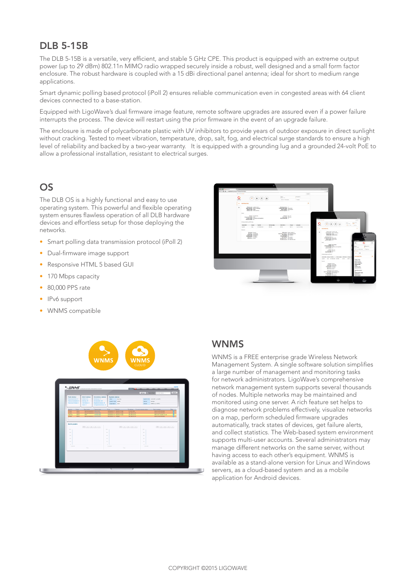# DLB 5-15B

The DLB 5-15B is a versatile, very efficient, and stable 5 GHz CPE. This product is equipped with an extreme output power (up to 29 dBm) 802.11n MIMO radio wrapped securely inside a robust, well designed and a small form factor enclosure. The robust hardware is coupled with a 15 dBi directional panel antenna; ideal for short to medium range applications.

Smart dynamic polling based protocol (iPoll 2) ensures reliable communication even in congested areas with 64 client devices connected to a base-station.

Equipped with LigoWave's dual firmware image feature, remote software upgrades are assured even if a power failure interrupts the process. The device will restart using the prior firmware in the event of an upgrade failure.

The enclosure is made of polycarbonate plastic with UV inhibitors to provide years of outdoor exposure in direct sunlight without cracking. Tested to meet vibration, temperature, drop, salt, fog, and electrical surge standards to ensure a high level of reliability and backed by a two-year warranty. It is equipped with a grounding lug and a grounded 24-volt PoE to allow a professional installation, resistant to electrical surges.

# **OS**

The DLB OS is a highly functional and easy to use operating system. This powerful and flexible operating system ensures flawless operation of all DLB hardware devices and effortless setup for those deploying the networks.

- Smart polling data transmission protocol (iPoll 2)
- Dual-firmware image support
- Responsive HTML 5 based GUI
- 170 Mbps capacity
- 80,000 PPS rate
- IPv6 support
- WNMS compatible





## WNMS

WNMS is a FREE enterprise grade Wireless Network Management System. A single software solution simplifies a large number of management and monitoring tasks for network administrators. LigoWave's comprehensive network management system supports several thousands of nodes. Multiple networks may be maintained and monitored using one server. A rich feature set helps to diagnose network problems effectively, visualize networks on a map, perform scheduled firmware upgrades automatically, track states of devices, get failure alerts, and collect statistics. The Web-based system environment supports multi-user accounts. Several administrators may manage different networks on the same server, without having access to each other's equipment. WNMS is available as a stand-alone version for Linux and Windows servers, as a cloud-based system and as a mobile application for Android devices.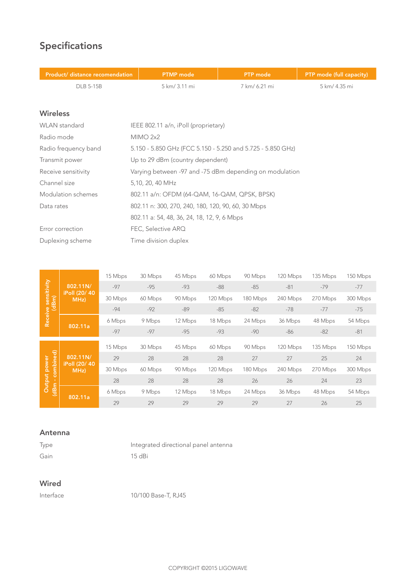# Specifications

| Product/ distance recomendation | <b>PTMP</b> mode                                            | <b>PTP</b> mode | PTP mode (full capacity) |  |
|---------------------------------|-------------------------------------------------------------|-----------------|--------------------------|--|
| <b>DLB 5-15B</b>                | 5 km/ 3.11 mi                                               | 7 km/ 6.21 mi   | 5 km/ 4.35 mi            |  |
|                                 |                                                             |                 |                          |  |
| <b>Wireless</b>                 |                                                             |                 |                          |  |
| <b>WLAN</b> standard            | IEEE 802.11 a/n, iPoll (proprietary)                        |                 |                          |  |
| Radio mode                      | <b>MIMO 2x2</b>                                             |                 |                          |  |
| Radio frequency band            | 5.150 - 5.850 GHz (FCC 5.150 - 5.250 and 5.725 - 5.850 GHz) |                 |                          |  |
| Transmit power                  | Up to 29 dBm (country dependent)                            |                 |                          |  |
| Receive sensitivity             | Varying between -97 and -75 dBm depending on modulation     |                 |                          |  |
| Channel size                    | 5,10, 20, 40 MHz                                            |                 |                          |  |
| Modulation schemes              | 802.11 a/n: OFDM (64-QAM, 16-QAM, QPSK, BPSK)               |                 |                          |  |
| Data rates                      | 802.11 n: 300, 270, 240, 180, 120, 90, 60, 30 Mbps          |                 |                          |  |
|                                 | 802.11 a: 54, 48, 36, 24, 18, 12, 9, 6 Mbps                 |                 |                          |  |
| Error correction                | FEC, Selective ARQ                                          |                 |                          |  |
| Duplexing scheme                | Time division duplex                                        |                 |                          |  |
|                                 |                                                             |                 |                          |  |
|                                 |                                                             |                 |                          |  |

|                              |                       | 15 Mbps | 30 Mbps | 45 Mbps | 60 Mbps  | 90 Mbps  | 120 Mbps | 135 Mbps | 150 Mbps |
|------------------------------|-----------------------|---------|---------|---------|----------|----------|----------|----------|----------|
| Receive sensitivity<br>(dBm) | 802.11N/              | $-97$   | $-95$   | $-93$   | $-88$    | $-85$    | $-81$    | $-79$    | $-77$    |
|                              | iPoll (20/40<br>MHz)  | 30 Mbps | 60 Mbps | 90 Mbps | 120 Mbps | 180 Mbps | 240 Mbps | 270 Mbps | 300 Mbps |
|                              |                       | $-94$   | $-92$   | $-89$   | $-85$    | $-82$    | $-78$    | $-77$    | $-75$    |
|                              |                       | 6 Mbps  | 9 Mbps  | 12 Mbps | 18 Mbps  | 24 Mbps  | 36 Mbps  | 48 Mbps  | 54 Mbps  |
|                              | 802.11a               | $-97$   | $-97$   | $-95$   | $-93$    | $-90$    | -86      | $-82$    | $-81$    |
|                              |                       | 15 Mbps | 30 Mbps | 45 Mbps | 60 Mbps  | 90 Mbps  | 120 Mbps | 135 Mbps | 150 Mbps |
|                              |                       |         |         |         |          |          |          |          |          |
|                              |                       |         |         |         |          |          |          |          |          |
|                              | 802.11N/              | 29      | 28      | 28      | 28       | 27       | 27       | 25       | 24       |
| power                        | iPoll (20/40)<br>MHz) | 30 Mbps | 60 Mbps | 90 Mbps | 120 Mbps | 180 Mbps | 240 Mbps | 270 Mbps | 300 Mbps |
| combined)                    |                       | 28      | 28      | 28      | 28       | 26       | 26       | 24       | 23       |
| Output<br>(dBm)              | 802.11a               | 6 Mbps  | 9 Mbps  | 12 Mbps | 18 Mbps  | 24 Mbps  | 36 Mbps  | 48 Mbps  | 54 Mbps  |

#### Antenna

| Type | Integrated directional panel antenna |
|------|--------------------------------------|
| Gain | 15 dBi                               |

### Wired

Interface 10/100 Base-T, RJ45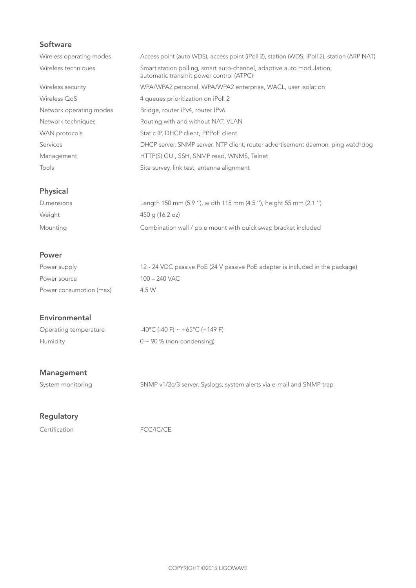## Software

| Wireless operating modes | Access point (auto WDS), access point (iPoll 2), station (WDS, iPoll 2), station (ARP NAT)                      |
|--------------------------|-----------------------------------------------------------------------------------------------------------------|
| Wireless techniques      | Smart station polling, smart auto-channel, adaptive auto modulation,<br>automatic transmit power control (ATPC) |
| Wireless security        | WPA/WPA2 personal, WPA/WPA2 enterprise, WACL, user isolation                                                    |
| Wireless QoS             | 4 queues prioritization on iPoll 2                                                                              |
| Network operating modes  | Bridge, router iPv4, router IPv6                                                                                |
| Network techniques       | Routing with and without NAT, VLAN                                                                              |
| WAN protocols            | Static IP, DHCP client, PPPoE client                                                                            |
| Services                 | DHCP server, SNMP server, NTP client, router advertisement daemon, ping watchdog                                |
| Management               | HTTP(S) GUI, SSH, SNMP read, WNMS, Telnet                                                                       |
| Tools                    | Site survey, link test, antenna alignment                                                                       |

## **Physical**

| Dimensions | Length 150 mm (5.9 "), width 115 mm (4.5 "), height 55 mm (2.1 ") |
|------------|-------------------------------------------------------------------|
| Weight     | 450 g (16.2 oz)                                                   |
| Mounting   | Combination wall / pole mount with quick swap bracket included    |

#### **Power**

| Power supply            | 12 - 24 VDC passive PoE (24 V passive PoE adapter is included in the package) |
|-------------------------|-------------------------------------------------------------------------------|
| Power source            | 100 – 240 VAC                                                                 |
| Power consumption (max) | 4.5 W                                                                         |

#### Environmental

| Operating temperature | $-40^{\circ}$ C (-40 F) ~ +65°C (+149 F) |
|-----------------------|------------------------------------------|
| Humidity              | $0 \sim 90\%$ (non-condensing)           |

#### Management

System monitoring SNMP v1/2c/3 server, Syslogs, system alerts via e-mail and SNMP trap

#### **Regulatory**

Certification FCC/IC/CE